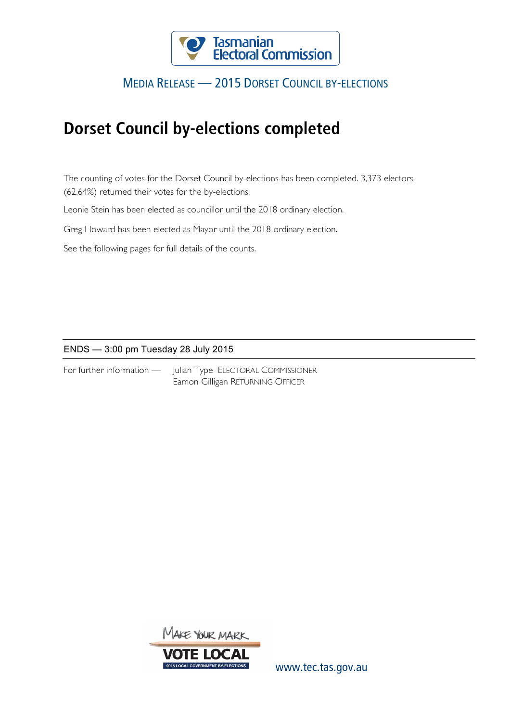

### MEDIA RELEASE — 2015 DORSET COUNCIL BY-ELECTIONS

## **Dorset Council by-elections completed**

The counting of votes for the Dorset Council by-elections has been completed. 3,373 electors (62.64%) returned their votes for the by-elections.

Leonie Stein has been elected as councillor until the 2018 ordinary election.

Greg Howard has been elected as Mayor until the 2018 ordinary election.

See the following pages for full details of the counts.

### ENDS — 3:00 pm Tuesday 28 July 2015

|  | For further information $-$ |
|--|-----------------------------|
|--|-----------------------------|

Julian Type ELECTORAL COMMISSIONER Eamon Gilligan RETURNING OFFICER



www.tec.tas.gov.au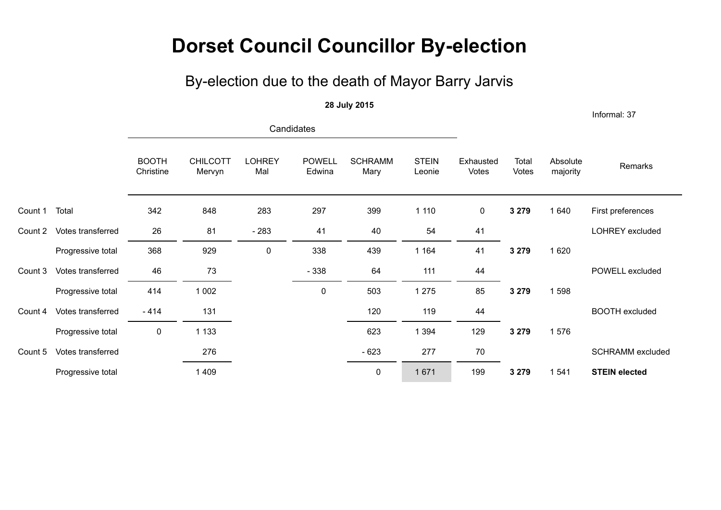## **Dorset Council Councillor By-election**

## By-election due to the death of Mayor Barry Jarvis

#### **28 July 2015**

Informal: 37

|         |                   | Candidates                |                           |                      |                         |                        |                        |                    |                |                      |                         |
|---------|-------------------|---------------------------|---------------------------|----------------------|-------------------------|------------------------|------------------------|--------------------|----------------|----------------------|-------------------------|
|         |                   | <b>BOOTH</b><br>Christine | <b>CHILCOTT</b><br>Mervyn | <b>LOHREY</b><br>Mal | <b>POWELL</b><br>Edwina | <b>SCHRAMM</b><br>Mary | <b>STEIN</b><br>Leonie | Exhausted<br>Votes | Total<br>Votes | Absolute<br>majority | Remarks                 |
| Count 1 | Total             | 342                       | 848                       | 283                  | 297                     | 399                    | 1 1 1 0                | $\pmb{0}$          | 3 2 7 9        | 1 640                | First preferences       |
| Count 2 | Votes transferred | 26                        | 81                        | $-283$               | 41                      | 40                     | 54                     | 41                 |                |                      | LOHREY excluded         |
|         | Progressive total | 368                       | 929                       | 0                    | 338                     | 439                    | 1 1 6 4                | 41                 | 3 2 7 9        | 1 6 2 0              |                         |
| Count 3 | Votes transferred | 46                        | 73                        |                      | $-338$                  | 64                     | 111                    | 44                 |                |                      | POWELL excluded         |
|         | Progressive total | 414                       | 1 0 0 2                   |                      | $\pmb{0}$               | 503                    | 1 2 7 5                | 85                 | 3 2 7 9        | 1598                 |                         |
| Count 4 | Votes transferred | $-414$                    | 131                       |                      |                         | 120                    | 119                    | 44                 |                |                      | <b>BOOTH</b> excluded   |
|         | Progressive total | $\pmb{0}$                 | 1 1 3 3                   |                      |                         | 623                    | 1 3 9 4                | 129                | 3 2 7 9        | 1576                 |                         |
| Count 5 | Votes transferred |                           | 276                       |                      |                         | $-623$                 | 277                    | 70                 |                |                      | <b>SCHRAMM</b> excluded |
|         | Progressive total |                           | 1 4 0 9                   |                      |                         | $\mathbf 0$            | 1671                   | 199                | 3 2 7 9        | 1 5 4 1              | <b>STEIN elected</b>    |